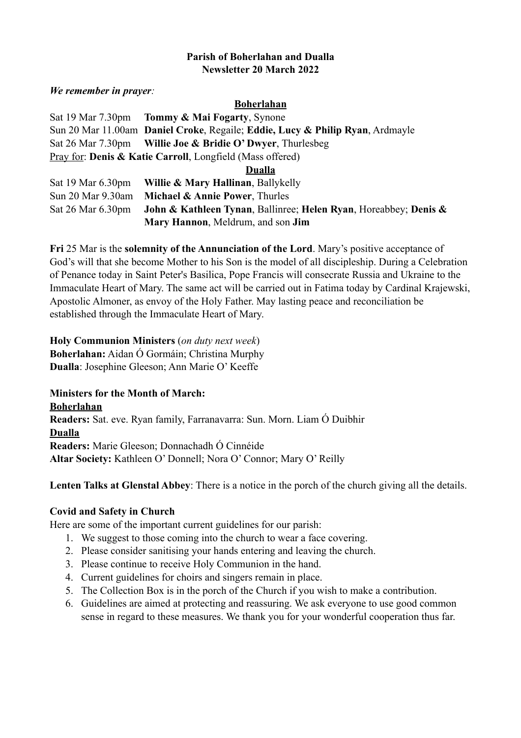#### **Parish of Boherlahan and Dualla Newsletter 20 March 2022**

*We remember in prayer:* 

#### **Boherlahan**

|                                                                       | Sat 19 Mar 7.30pm Tommy & Mai Fogarty, Synone                                 |
|-----------------------------------------------------------------------|-------------------------------------------------------------------------------|
|                                                                       | Sun 20 Mar 11.00am Daniel Croke, Regaile; Eddie, Lucy & Philip Ryan, Ardmayle |
|                                                                       | Sat 26 Mar 7.30pm Willie Joe & Bridie O' Dwyer, Thurlesbeg                    |
| Pray for: <b>Denis &amp; Katie Carroll</b> , Longfield (Mass offered) |                                                                               |
|                                                                       |                                                                               |

**Dualla**

| Sat 19 Mar 6.30pm      | <b>Willie &amp; Mary Hallinan, Ballykelly</b>                                   |
|------------------------|---------------------------------------------------------------------------------|
|                        | Sun 20 Mar $9.30$ am Michael & Annie Power, Thurles                             |
| Sat $26$ Mar $6.30$ pm | <b>John &amp; Kathleen Tynan, Ballinree; Helen Ryan, Horeabbey; Denis &amp;</b> |
|                        | Mary Hannon, Meldrum, and son Jim                                               |

**Fri** 25 Mar is the **solemnity of the Annunciation of the Lord**. Mary's positive acceptance of God's will that she become Mother to his Son is the model of all discipleship. During a Celebration of Penance today in Saint Peter's Basilica, Pope Francis will consecrate Russia and Ukraine to the Immaculate Heart of Mary. The same act will be carried out in Fatima today by Cardinal Krajewski, Apostolic Almoner, as envoy of the Holy Father. May lasting peace and reconciliation be established through the Immaculate Heart of Mary.

# **Holy Communion Ministers** (*on duty next week*) **Boherlahan:** Aidan Ó Gormáin; Christina Murphy **Dualla**: Josephine Gleeson; Ann Marie O' Keeffe

**Ministers for the Month of March: Boherlahan Readers:** Sat. eve. Ryan family, Farranavarra: Sun. Morn. Liam Ó Duibhir **Dualla Readers:** Marie Gleeson; Donnachadh Ó Cinnéide **Altar Society:** Kathleen O' Donnell; Nora O' Connor; Mary O' Reilly

**Lenten Talks at Glenstal Abbey**: There is a notice in the porch of the church giving all the details.

# **Covid and Safety in Church**

Here are some of the important current guidelines for our parish:

- 1. We suggest to those coming into the church to wear a face covering.
- 2. Please consider sanitising your hands entering and leaving the church.
- 3. Please continue to receive Holy Communion in the hand.
- 4. Current guidelines for choirs and singers remain in place.
- 5. The Collection Box is in the porch of the Church if you wish to make a contribution.
- 6. Guidelines are aimed at protecting and reassuring. We ask everyone to use good common sense in regard to these measures. We thank you for your wonderful cooperation thus far.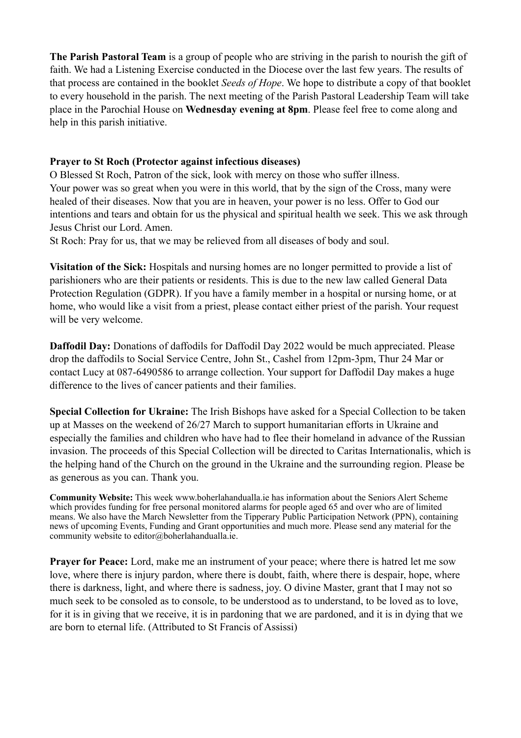**The Parish Pastoral Team** is a group of people who are striving in the parish to nourish the gift of faith. We had a Listening Exercise conducted in the Diocese over the last few years. The results of that process are contained in the booklet *Seeds of Hope*. We hope to distribute a copy of that booklet to every household in the parish. The next meeting of the Parish Pastoral Leadership Team will take place in the Parochial House on **Wednesday evening at 8pm**. Please feel free to come along and help in this parish initiative.

### **Prayer to St Roch (Protector against infectious diseases)**

O Blessed St Roch, Patron of the sick, look with mercy on those who suffer illness. Your power was so great when you were in this world, that by the sign of the Cross, many were healed of their diseases. Now that you are in heaven, your power is no less. Offer to God our intentions and tears and obtain for us the physical and spiritual health we seek. This we ask through Jesus Christ our Lord. Amen.

St Roch: Pray for us, that we may be relieved from all diseases of body and soul.

**Visitation of the Sick:** Hospitals and nursing homes are no longer permitted to provide a list of parishioners who are their patients or residents. This is due to the new law called General Data Protection Regulation (GDPR). If you have a family member in a hospital or nursing home, or at home, who would like a visit from a priest, please contact either priest of the parish. Your request will be very welcome.

**Daffodil Day:** Donations of daffodils for Daffodil Day 2022 would be much appreciated. Please drop the daffodils to Social Service Centre, John St., Cashel from 12pm-3pm, Thur 24 Mar or contact Lucy at 087-6490586 to arrange collection. Your support for Daffodil Day makes a huge difference to the lives of cancer patients and their families.

**Special Collection for Ukraine:** The Irish Bishops have asked for a Special Collection to be taken up at Masses on the weekend of 26/27 March to support humanitarian efforts in Ukraine and especially the families and children who have had to flee their homeland in advance of the Russian invasion. The proceeds of this Special Collection will be directed to Caritas Internationalis, which is the helping hand of the Church on the ground in the Ukraine and the surrounding region. Please be as generous as you can. Thank you.

**Community Website:** This week www.boherlahandualla.ie has information about the Seniors Alert Scheme which provides funding for free personal monitored alarms for people aged 65 and over who are of limited means. We also have the March Newsletter from the Tipperary Public Participation Network (PPN), containing news of upcoming Events, Funding and Grant opportunities and much more. Please send any material for the community website to editor@boherlahandualla.ie.

**Prayer for Peace:** Lord, make me an instrument of your peace; where there is hatred let me sow love, where there is injury pardon, where there is doubt, faith, where there is despair, hope, where there is darkness, light, and where there is sadness, joy. O divine Master, grant that I may not so much seek to be consoled as to console, to be understood as to understand, to be loved as to love, for it is in giving that we receive, it is in pardoning that we are pardoned, and it is in dying that we are born to eternal life. (Attributed to St Francis of Assissi)